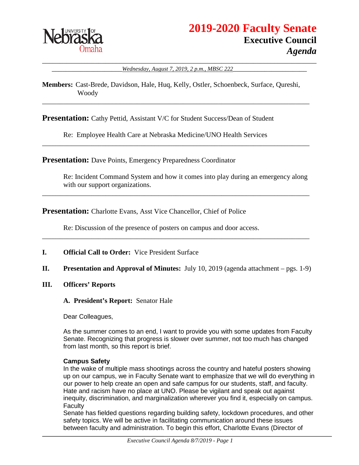

\_\_\_\_\_\_\_\_\_\_\_\_\_\_\_\_\_\_\_\_\_\_\_\_\_\_\_\_\_\_\_\_\_\_\_\_\_\_\_\_\_\_\_\_\_\_\_\_\_\_\_\_\_\_\_\_\_\_\_\_\_\_\_\_\_\_\_\_\_\_\_\_\_\_\_\_\_\_ \_\_\_\_\_\_\_\_\_\_\_\_\_\_\_\_\_\_\_\_*Wednesday, August 7, 2019, 2 p.m., MBSC 222*\_\_\_\_\_\_\_\_\_\_\_\_\_\_\_\_\_\_\_\_\_

#### **Members:** Cast-Brede, Davidson, Hale, Huq, Kelly, Ostler, Schoenbeck, Surface, Qureshi, Woody

\_\_\_\_\_\_\_\_\_\_\_\_\_\_\_\_\_\_\_\_\_\_\_\_\_\_\_\_\_\_\_\_\_\_\_\_\_\_\_\_\_\_\_\_\_\_\_\_\_\_\_\_\_\_\_\_\_\_\_\_\_\_\_\_\_\_\_\_\_\_\_\_\_\_\_\_

\_\_\_\_\_\_\_\_\_\_\_\_\_\_\_\_\_\_\_\_\_\_\_\_\_\_\_\_\_\_\_\_\_\_\_\_\_\_\_\_\_\_\_\_\_\_\_\_\_\_\_\_\_\_\_\_\_\_\_\_\_\_\_\_\_\_\_\_\_\_\_\_\_\_\_\_

\_\_\_\_\_\_\_\_\_\_\_\_\_\_\_\_\_\_\_\_\_\_\_\_\_\_\_\_\_\_\_\_\_\_\_\_\_\_\_\_\_\_\_\_\_\_\_\_\_\_\_\_\_\_\_\_\_\_\_\_\_\_\_\_\_\_\_\_\_\_\_\_\_\_\_\_

**Presentation:** Cathy Pettid, Assistant V/C for Student Success/Dean of Student

Re: Employee Health Care at Nebraska Medicine/UNO Health Services

**Presentation:** Dave Points, Emergency Preparedness Coordinator

Re: Incident Command System and how it comes into play during an emergency along with our support organizations.

**Presentation:** Charlotte Evans, Asst Vice Chancellor, Chief of Police

Re: Discussion of the presence of posters on campus and door access.

- **I. Official Call to Order:** Vice President Surface
- **II. Presentation and Approval of Minutes:** July 10, 2019 (agenda attachment pgs. 1-9)

\_\_\_\_\_\_\_\_\_\_\_\_\_\_\_\_\_\_\_\_\_\_\_\_\_\_\_\_\_\_\_\_\_\_\_\_\_\_\_\_\_\_\_\_\_\_\_\_\_\_\_\_\_\_\_\_\_\_\_\_\_\_\_\_\_\_\_\_\_\_\_\_\_\_\_\_

- **III. Officers' Reports**
	- **A. President's Report:** Senator Hale

Dear Colleagues,

As the summer comes to an end, I want to provide you with some updates from Faculty Senate. Recognizing that progress is slower over summer, not too much has changed from last month, so this report is brief.

#### **Campus Safety**

In the wake of multiple mass shootings across the country and hateful posters showing up on our campus, we in Faculty Senate want to emphasize that we will do everything in our power to help create an open and safe campus for our students, staff, and faculty. Hate and racism have no place at UNO. Please be vigilant and speak out against inequity, discrimination, and marginalization wherever you find it, especially on campus. **Faculty** 

Senate has fielded questions regarding building safety, lockdown procedures, and other safety topics. We will be active in facilitating communication around these issues between faculty and administration. To begin this effort, Charlotte Evans (Director of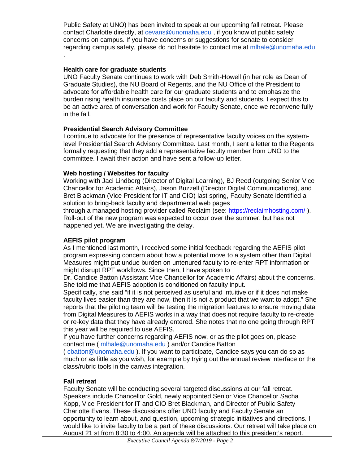Public Safety at UNO) has been invited to speak at our upcoming fall retreat. Please contact Charlotte directly, at cevans@unomaha.edu , if you know of public safety concerns on campus. If you have concerns or suggestions for senate to consider regarding campus safety, please do not hesitate to contact me at mihale@unomaha.edu

#### **Health care for graduate students**

.

UNO Faculty Senate continues to work with Deb Smith-Howell (in her role as Dean of Graduate Studies), the NU Board of Regents, and the NU Office of the President to advocate for affordable health care for our graduate students and to emphasize the burden rising health insurance costs place on our faculty and students. I expect this to be an active area of conversation and work for Faculty Senate, once we reconvene fully in the fall.

#### **Presidential Search Advisory Committee**

I continue to advocate for the presence of representative faculty voices on the systemlevel Presidential Search Advisory Committee. Last month, I sent a letter to the Regents formally requesting that they add a representative faculty member from UNO to the committee. I await their action and have sent a follow-up letter.

#### **Web hosting / Websites for faculty**

Working with Jaci Lindberg (Director of Digital Learning), BJ Reed (outgoing Senior Vice Chancellor for Academic Affairs), Jason Buzzell (Director Digital Communications), and Bret Blackman (Vice President for IT and CIO) last spring, Faculty Senate identified a solution to bring-back faculty and departmental web pages

through a managed hosting provider called Reclaim (see: https://reclaimhosting.com/ ). Roll-out of the new program was expected to occur over the summer, but has not happened yet. We are investigating the delay.

#### **AEFIS pilot program**

As I mentioned last month, I received some initial feedback regarding the AEFIS pilot program expressing concern about how a potential move to a system other than Digital Measures might put undue burden on untenured faculty to re-enter RPT information or might disrupt RPT workflows. Since then, I have spoken to

Dr. Candice Batton (Assistant Vice Chancellor for Academic Affairs) about the concerns. She told me that AEFIS adoption is conditioned on faculty input.

Specifically, she said "if it is not perceived as useful and intuitive or if it does not make faculty lives easier than they are now, then it is not a product that we want to adopt." She reports that the piloting team will be testing the migration features to ensure moving data from Digital Measures to AEFIS works in a way that does not require faculty to re-create or re-key data that they have already entered. She notes that no one going through RPT this year will be required to use AEFIS.

If you have further concerns regarding AEFIS now, or as the pilot goes on, please contact me ( mlhale@unomaha.edu ) and/or Candice Batton

( cbatton@unomaha.edu ). If you want to participate, Candice says you can do so as much or as little as you wish, for example by trying out the annual review interface or the class/rubric tools in the canvas integration.

### **Fall retreat**

Faculty Senate will be conducting several targeted discussions at our fall retreat. Speakers include Chancellor Gold, newly appointed Senior Vice Chancellor Sacha Kopp, Vice President for IT and CIO Bret Blackman, and Director of Public Safety Charlotte Evans. These discussions offer UNO faculty and Faculty Senate an opportunity to learn about, and question, upcoming strategic initiatives and directions. I would like to invite faculty to be a part of these discussions. Our retreat will take place on August 21 st from 8:30 to 4:00. An agenda will be attached to this president's report.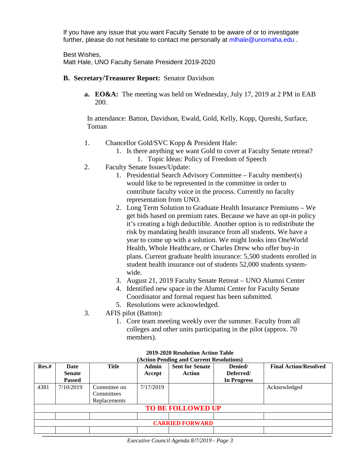If you have any issue that you want Faculty Senate to be aware of or to investigate further, please do not hesitate to contact me personally at mlhale@unomaha.edu .

Best Wishes, Matt Hale, UNO Faculty Senate President 2019-2020

- **B. Secretary/Treasurer Report:** Senator Davidson
	- **a. EO&A:** The meeting was held on Wednesday, July 17, 2019 at 2 PM in EAB 200.

In attendance: Batton, Davidson, Ewald, Gold, Kelly, Kopp, Qureshi, Surface, Toman

- 1. Chancellor Gold/SVC Kopp & President Hale:
	- 1. Is there anything we want Gold to cover at Faculty Senate retreat? 1. Topic Ideas: Policy of Freedom of Speech
- 2. Faculty Senate Issues/Update:
	- 1. Presidential Search Advisory Committee Faculty member(s) would like to be represented in the committee in order to contribute faculty voice in the process. Currently no faculty representation from UNO.
	- 2. Long Term Solution to Graduate Health Insurance Premiums We get bids based on premium rates. Because we have an opt-in policy it's creating a high deductible. Another option is to redistribute the risk by mandating health insurance from all students. We have a year to come up with a solution. We might looks into OneWorld Health, Whole Healthcare, or Charles Drew who offer buy-in plans. Current graduate health insurance: 5,500 students enrolled in student health insurance out of students 52,000 students systemwide.
	- 3. August 21, 2019 Faculty Senate Retreat UNO Alumni Center
	- 4. Identified new space in the Alumni Center for Faculty Senate Coordinator and formal request has been submitted.
	- 5. Resolutions were acknowledged.
- 3. AFIS pilot (Batton):
	- 1. Core team meeting weekly over the summer. Faculty from all colleges and other units participating in the pilot (approx. 70 members).

| $(11000 \text{ m})$      |               |                     |           |                        |             |                              |  |
|--------------------------|---------------|---------------------|-----------|------------------------|-------------|------------------------------|--|
| Res.#                    | Date          | <b>Title</b>        | Admin     | <b>Sent for Senate</b> | Denied/     | <b>Final Action/Resolved</b> |  |
|                          | <b>Senate</b> |                     | Accept    | Action                 | Deferred/   |                              |  |
|                          | <b>Passed</b> |                     |           |                        | In Progress |                              |  |
| 4381                     | 7/10/2019     | Committee on        | 7/17/2019 |                        |             | Acknowledged                 |  |
|                          |               | Committees          |           |                        |             |                              |  |
|                          |               | <b>Replacements</b> |           |                        |             |                              |  |
| <b>TO BE FOLLOWED UP</b> |               |                     |           |                        |             |                              |  |
|                          |               |                     |           |                        |             |                              |  |
| <b>CARRIED FORWARD</b>   |               |                     |           |                        |             |                              |  |
|                          |               |                     |           |                        |             |                              |  |

**2019-2020 Resolution Action Table (Action Pending and Current Resolutions)**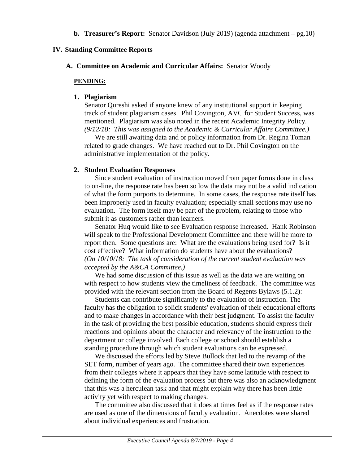**b. Treasurer's Report:** Senator Davidson (July 2019) (agenda attachment – pg.10)

#### **IV. Standing Committee Reports**

**A. Committee on Academic and Curricular Affairs:** Senator Woody

#### **PENDING:**

#### **1. Plagiarism**

Senator Qureshi asked if anyone knew of any institutional support in keeping track of student plagiarism cases. Phil Covington, AVC for Student Success, was mentioned. Plagiarism was also noted in the recent Academic Integrity Policy. *(9/12/18: This was assigned to the Academic & Curricular Affairs Committee.)* 

We are still awaiting data and or policy information from Dr. Regina Toman related to grade changes. We have reached out to Dr. Phil Covington on the administrative implementation of the policy.

#### **2. Student Evaluation Responses**

Since student evaluation of instruction moved from paper forms done in class to on-line, the response rate has been so low the data may not be a valid indication of what the form purports to determine. In some cases, the response rate itself has been improperly used in faculty evaluation; especially small sections may use no evaluation. The form itself may be part of the problem, relating to those who submit it as customers rather than learners.

Senator Huq would like to see Evaluation response increased. Hank Robinson will speak to the Professional Development Committee and there will be more to report then. Some questions are: What are the evaluations being used for? Is it cost effective? What information do students have about the evaluations? *(On 10/10/18: The task of consideration of the current student evaluation was accepted by the A&CA Committee.)*

We had some discussion of this issue as well as the data we are waiting on with respect to how students view the timeliness of feedback. The committee was provided with the relevant section from the Board of Regents Bylaws (5.1.2):

Students can contribute significantly to the evaluation of instruction. The faculty has the obligation to solicit students' evaluation of their educational efforts and to make changes in accordance with their best judgment. To assist the faculty in the task of providing the best possible education, students should express their reactions and opinions about the character and relevancy of the instruction to the department or college involved. Each college or school should establish a standing procedure through which student evaluations can be expressed.

We discussed the efforts led by Steve Bullock that led to the revamp of the SET form, number of years ago. The committee shared their own experiences from their colleges where it appears that they have some latitude with respect to defining the form of the evaluation process but there was also an acknowledgment that this was a herculean task and that might explain why there has been little activity yet with respect to making changes.

The committee also discussed that it does at times feel as if the response rates are used as one of the dimensions of faculty evaluation. Anecdotes were shared about individual experiences and frustration.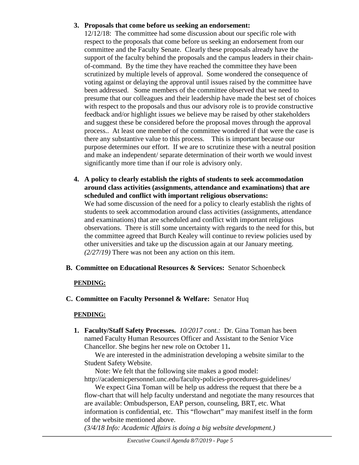# **3. Proposals that come before us seeking an endorsement:**

12/12/18: The committee had some discussion about our specific role with respect to the proposals that come before us seeking an endorsement from our committee and the Faculty Senate. Clearly these proposals already have the support of the faculty behind the proposals and the campus leaders in their chainof-command. By the time they have reached the committee they have been scrutinized by multiple levels of approval. Some wondered the consequence of voting against or delaying the approval until issues raised by the committee have been addressed. Some members of the committee observed that we need to presume that our colleagues and their leadership have made the best set of choices with respect to the proposals and thus our advisory role is to provide constructive feedback and/or highlight issues we believe may be raised by other stakeholders and suggest these be considered before the proposal moves through the approval process.. At least one member of the committee wondered if that were the case is there any substantive value to this process. This is important because our purpose determines our effort. If we are to scrutinize these with a neutral position and make an independent/ separate determination of their worth we would invest significantly more time than if our role is advisory only.

**4. A policy to clearly establish the rights of students to seek accommodation around class activities (assignments, attendance and examinations) that are scheduled and conflict with important religious observations:** We had some discussion of the need for a policy to clearly establish the rights of students to seek accommodation around class activities (assignments, attendance and examinations) that are scheduled and conflict with important religious observations. There is still some uncertainty with regards to the need for this, but the committee agreed that Burch Kealey will continue to review policies used by other universities and take up the discussion again at our January meeting. *(2/27/19)* There was not been any action on this item.

# **B. Committee on Educational Resources & Services:** Senator Schoenbeck

### **PENDING:**

**C. Committee on Faculty Personnel & Welfare:** Senator Huq

# **PENDING:**

**1. Faculty/Staff Safety Processes.** *10/2017 cont.:* Dr. Gina Toman has been named Faculty Human Resources Officer and Assistant to the Senior Vice Chancellor. She begins her new role on October 11**.**

We are interested in the administration developing a website similar to the Student Safety Website.

Note: We felt that the following site makes a good model: http://academicpersonnel.unc.edu/faculty-policies-procedures-guidelines/

We expect Gina Toman will be help us address the request that there be a flow-chart that will help faculty understand and negotiate the many resources that are available: Ombudsperson, EAP person, counseling, BRT, etc. What information is confidential, etc. This "flowchart" may manifest itself in the form of the website mentioned above.

*(3/4/18 Info: Academic Affairs is doing a big website development.)*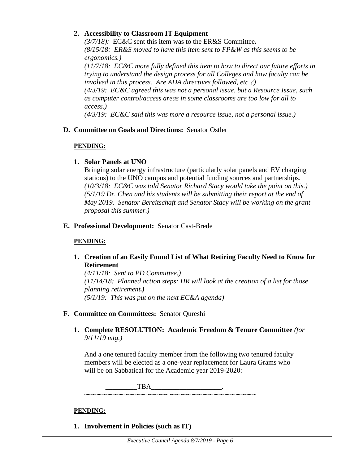### **2. Accessibility to Classroom IT Equipment**

*(3/7/18):* EC&C sent this item was to the ER&S Committee**.**  *(8/15/18: ER&S moved to have this item sent to FP&W as this seems to be ergonomics.)* 

*(11/7/18: EC&C more fully defined this item to how to direct our future efforts in trying to understand the design process for all Colleges and how faculty can be involved in this process. Are ADA directives followed, etc.?) (4/3/19: EC&C agreed this was not a personal issue, but a Resource Issue, such as computer control/access areas in some classrooms are too low for all to access.)*

*(4/3/19: EC&C said this was more a resource issue, not a personal issue.)* 

# **D. Committee on Goals and Directions:** Senator Ostler

# **PENDING:**

# **1. Solar Panels at UNO**

Bringing solar energy infrastructure (particularly solar panels and EV charging stations) to the UNO campus and potential funding sources and partnerships. *(10/3/18: EC&C was told Senator Richard Stacy would take the point on this.) (5/1/19 Dr. Chen and his students will be submitting their report at the end of May 2019. Senator Bereitschaft and Senator Stacy will be working on the grant proposal this summer.)*

# **E. Professional Development:** Senator Cast-Brede

### **PENDING:**

# **1. Creation of an Easily Found List of What Retiring Faculty Need to Know for Retirement**

*(4/11/18: Sent to PD Committee.) (11/14/18: Planned action steps: HR will look at the creation of a list for those planning retirement.) (5/1/19: This was put on the next EC&A agenda)*

### **F. Committee on Committees:** Senator Qureshi

**1. Complete RESOLUTION: Academic Freedom & Tenure Committee** *(for 9/11/19 mtg.)*

And a one tenured faculty member from the following two tenured faculty members will be elected as a one-year replacement for Laura Grams who will be on Sabbatical for the Academic year 2019-2020:

 $TBA$ 

### **PENDING:**

**1. Involvement in Policies (such as IT)**

**~~~~~~~~~~~~~~~~~~~~~~~~~~~~~~~~~~~~~~~~~~~~~~~**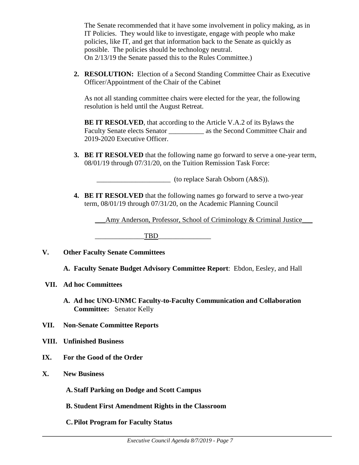The Senate recommended that it have some involvement in policy making, as in IT Policies. They would like to investigate, engage with people who make policies, like IT, and get that information back to the Senate as quickly as possible. The policies should be technology neutral. On 2/13/19 the Senate passed this to the Rules Committee.)

**2. RESOLUTION:** Election of a Second Standing Committee Chair as Executive Officer/Appointment of the Chair of the Cabinet

As not all standing committee chairs were elected for the year, the following resolution is held until the August Retreat.

**BE IT RESOLVED**, that according to the Article V.A.2 of its Bylaws the Faculty Senate elects Senator as the Second Committee Chair and 2019-2020 Executive Officer.

**3. BE IT RESOLVED** that the following name go forward to serve a one-year term, 08/01/19 through 07/31/20, on the Tuition Remission Task Force:

 $($ to replace Sarah Osborn  $(A&S)$ ).

**4. BE IT RESOLVED** that the following names go forward to serve a two-year term, 08/01/19 through 07/31/20, on the Academic Planning Council

\_\_\_Amy Anderson, Professor, School of Criminology & Criminal Justice\_\_\_

TBD

# **V. Other Faculty Senate Committees**

**A. Faculty Senate Budget Advisory Committee Report**: Ebdon, Eesley, and Hall

### **VII. Ad hoc Committees**

- **A. Ad hoc UNO-UNMC Faculty-to-Faculty Communication and Collaboration Committee:** Senator Kelly
- **VII. Non-Senate Committee Reports**
- **VIII. Unfinished Business**
- **IX. For the Good of the Order**
- **X. New Business**

**A. Staff Parking on Dodge and Scott Campus** 

- **B. Student First Amendment Rights in the Classroom**
- **C.Pilot Program for Faculty Status**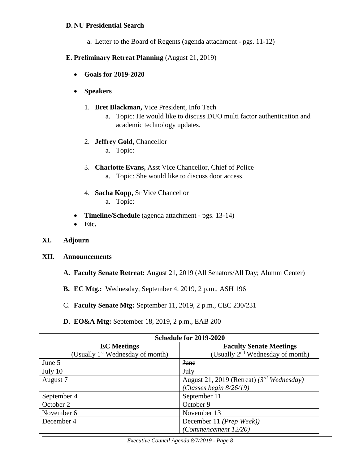#### **D. NU Presidential Search**

a. Letter to the Board of Regents (agenda attachment - pgs. 11-12)

#### **E. Preliminary Retreat Planning** (August 21, 2019)

- **Goals for 2019-2020**
- **Speakers**
	- 1. **Bret Blackman,** Vice President, Info Tech
		- a. Topic: He would like to discuss DUO multi factor authentication and academic technology updates.
	- 2. **Jeffrey Gold,** Chancellor
		- a. Topic:
	- 3. **Charlotte Evans,** Asst Vice Chancellor, Chief of Police a. Topic: She would like to discuss door access.
	- 4. **Sacha Kopp,** Sr Vice Chancellor a. Topic:
- **Timeline/Schedule** (agenda attachment pgs. 13-14)
- **Etc.**
- **XI. Adjourn**
- **XII. Announcements**
	- **A. Faculty Senate Retreat:** August 21, 2019 (All Senators/All Day; Alumni Center)
	- **B. EC Mtg.:** Wednesday, September 4, 2019, 2 p.m., ASH 196
	- C. **Faculty Senate Mtg:** September 11, 2019, 2 p.m., CEC 230/231
	- **D. EO&A Mtg:** September 18, 2019, 2 p.m., EAB 200

| Schedule for 2019-2020                       |                                                |  |  |  |
|----------------------------------------------|------------------------------------------------|--|--|--|
| <b>EC</b> Meetings                           | <b>Faculty Senate Meetings</b>                 |  |  |  |
| (Usually 1 <sup>st</sup> Wednesday of month) | (Usually 2 <sup>nd</sup> Wednesday of month)   |  |  |  |
| June 5                                       | <b>June</b>                                    |  |  |  |
| July 10                                      | <b>July</b>                                    |  |  |  |
| August 7                                     | August 21, 2019 (Retreat) $(3^{rd}$ Wednesday) |  |  |  |
|                                              | (Classes begin $8/26/19$ )                     |  |  |  |
| September 4                                  | September 11                                   |  |  |  |
| October 2                                    | October 9                                      |  |  |  |
| November 6                                   | November 13                                    |  |  |  |
| December 4                                   | December 11 ( <i>Prep Week</i> ))              |  |  |  |
|                                              | (Commencement 12/20)                           |  |  |  |